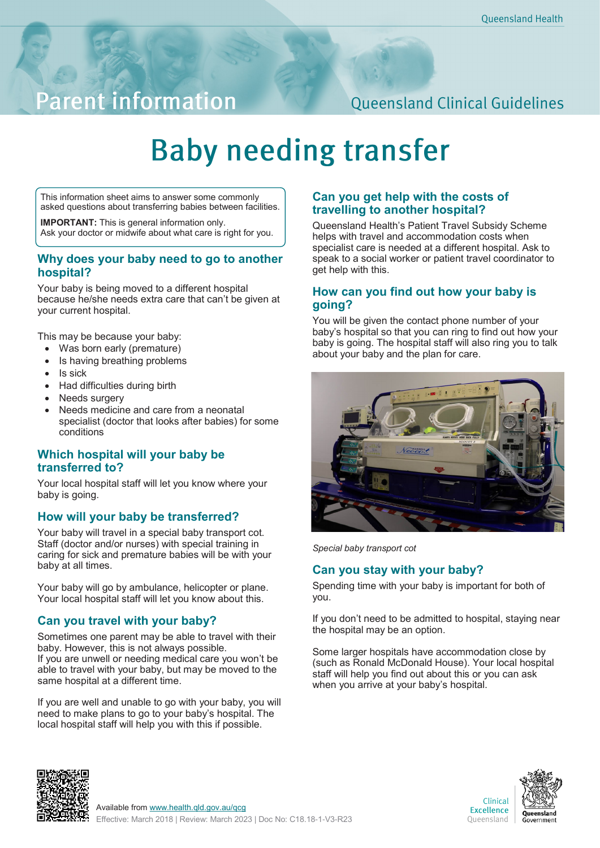## **Parent information**

### **Queensland Clinical Guidelines**

# **Baby needing transfer**

This information sheet aims to answer some commonly asked questions about transferring babies between facilities.

**IMPORTANT:** This is general information only. Ask your doctor or midwife about what care is right for you.

#### **Why does your baby need to go to another hospital?**

Your baby is being moved to a different hospital because he/she needs extra care that can't be given at your current hospital.

This may be because your baby:

- Was born early (premature)
- Is having breathing problems
- Is sick
- Had difficulties during birth
- Needs surgery
- Needs medicine and care from a neonatal specialist (doctor that looks after babies) for some conditions

#### **Which hospital will your baby be transferred to?**

Your local hospital staff will let you know where your baby is going.

#### **How will your baby be transferred?**

Your baby will travel in a special baby transport cot. Staff (doctor and/or nurses) with special training in caring for sick and premature babies will be with your baby at all times.

Your baby will go by ambulance, helicopter or plane. Your local hospital staff will let you know about this.

#### **Can you travel with your baby?**

Sometimes one parent may be able to travel with their baby. However, this is not always possible. If you are unwell or needing medical care you won't be able to travel with your baby, but may be moved to the same hospital at a different time.

If you are well and unable to go with your baby, you will need to make plans to go to your baby's hospital. The local hospital staff will help you with this if possible.

#### **Can you get help with the costs of travelling to another hospital?**

Queensland Health's Patient Travel Subsidy Scheme helps with travel and accommodation costs when specialist care is needed at a different hospital. Ask to speak to a social worker or patient travel coordinator to get help with this.

#### **How can you find out how your baby is going?**

You will be given the contact phone number of your baby's hospital so that you can ring to find out how your baby is going. The hospital staff will also ring you to talk about your baby and the plan for care.



*Special baby transport cot*

#### **Can you stay with your baby?**

Spending time with your baby is important for both of you.

If you don't need to be admitted to hospital, staying near the hospital may be an option.

Some larger hospitals have accommodation close by (such as Ronald McDonald House). Your local hospital staff will help you find out about this or you can ask when you arrive at your baby's hospital.